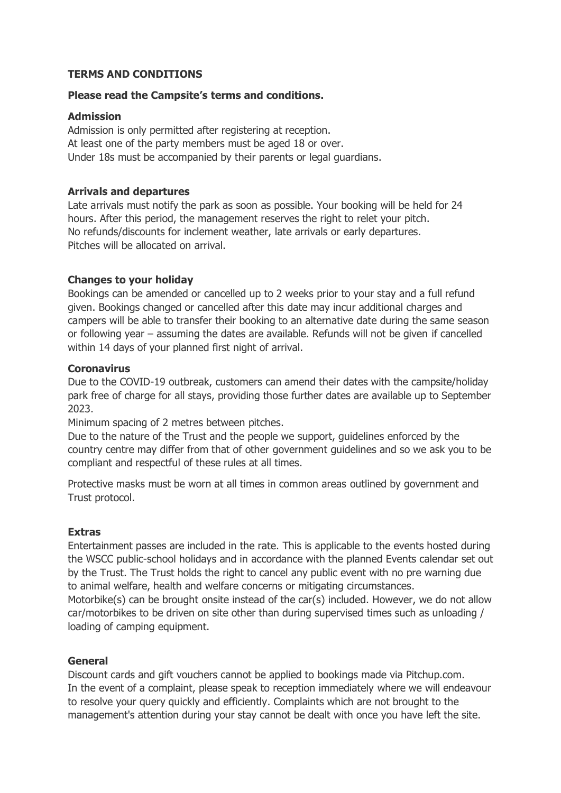# **TERMS AND CONDITIONS**

## **Please read the Campsite's terms and conditions.**

### **Admission**

Admission is only permitted after registering at reception. At least one of the party members must be aged 18 or over. Under 18s must be accompanied by their parents or legal guardians.

## **Arrivals and departures**

Late arrivals must notify the park as soon as possible. Your booking will be held for 24 hours. After this period, the management reserves the right to relet your pitch. No refunds/discounts for inclement weather, late arrivals or early departures. Pitches will be allocated on arrival.

## **Changes to your holiday**

Bookings can be amended or cancelled up to 2 weeks prior to your stay and a full refund given. Bookings changed or cancelled after this date may incur additional charges and campers will be able to transfer their booking to an alternative date during the same season or following year – assuming the dates are available. Refunds will not be given if cancelled within 14 days of your planned first night of arrival.

### **Coronavirus**

Due to the COVID-19 outbreak, customers can amend their dates with the campsite/holiday park free of charge for all stays, providing those further dates are available up to September 2023.

Minimum spacing of 2 metres between pitches.

Due to the nature of the Trust and the people we support, guidelines enforced by the country centre may differ from that of other government guidelines and so we ask you to be compliant and respectful of these rules at all times.

Protective masks must be worn at all times in common areas outlined by government and Trust protocol.

### **Extras**

Entertainment passes are included in the rate. This is applicable to the events hosted during the WSCC public-school holidays and in accordance with the planned Events calendar set out by the Trust. The Trust holds the right to cancel any public event with no pre warning due to animal welfare, health and welfare concerns or mitigating circumstances.

Motorbike(s) can be brought onsite instead of the car(s) included. However, we do not allow car/motorbikes to be driven on site other than during supervised times such as unloading / loading of camping equipment.

# **General**

Discount cards and gift vouchers cannot be applied to bookings made via Pitchup.com. In the event of a complaint, please speak to reception immediately where we will endeavour to resolve your query quickly and efficiently. Complaints which are not brought to the management's attention during your stay cannot be dealt with once you have left the site.